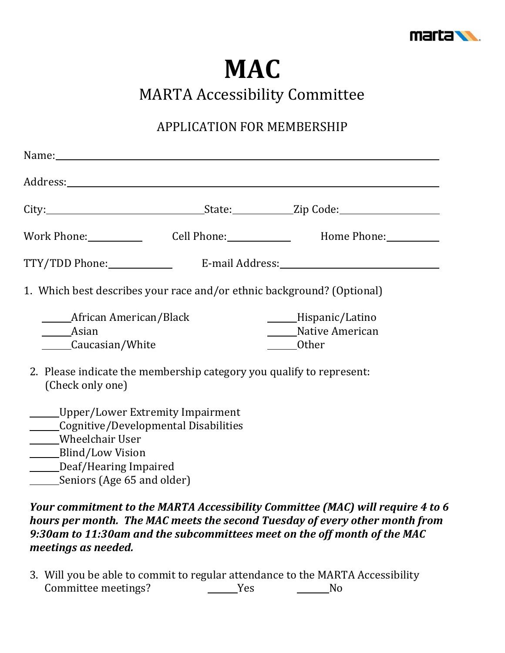

## **MAC**

MARTA Accessibility Committee

## APPLICATION FOR MEMBERSHIP

| Name:                                                                                                                                                                                |                                                                                                                                                                                                                               |
|--------------------------------------------------------------------------------------------------------------------------------------------------------------------------------------|-------------------------------------------------------------------------------------------------------------------------------------------------------------------------------------------------------------------------------|
|                                                                                                                                                                                      |                                                                                                                                                                                                                               |
|                                                                                                                                                                                      | City: City: City: City: City: City: City: City: City: City: City: City: City: City: City: City: City: City: City: City: City: City: City: City: City: City: City: City: City: City: City: City: City: City: City: City: City: |
|                                                                                                                                                                                      | Work Phone: Cell Phone: Home Phone:                                                                                                                                                                                           |
| TTY/TDD Phone:______________                                                                                                                                                         |                                                                                                                                                                                                                               |
| 1. Which best describes your race and/or ethnic background? (Optional)                                                                                                               |                                                                                                                                                                                                                               |
| ____African American/Black<br>Asian<br>Caucasian/White                                                                                                                               | _____Hispanic/Latino<br>Native American<br>Other                                                                                                                                                                              |
| 2. Please indicate the membership category you qualify to represent:<br>(Check only one)                                                                                             |                                                                                                                                                                                                                               |
| Upper/Lower Extremity Impairment<br>Cognitive/Developmental Disabilities<br>Wheelchair User<br>_______Blind/Low Vision<br>_______Deaf/Hearing Impaired<br>Seniors (Age 65 and older) |                                                                                                                                                                                                                               |

*Your commitment to the MARTA Accessibility Committee (MAC) will require 4 to 6 hours per month. The MAC meets the second Tuesday of every other month from 9:30am to 11:30am and the subcommittees meet on the off month of the MAC meetings as needed.* 

3. Will you be able to commit to regular attendance to the MARTA Accessibility Committee meetings? Yes No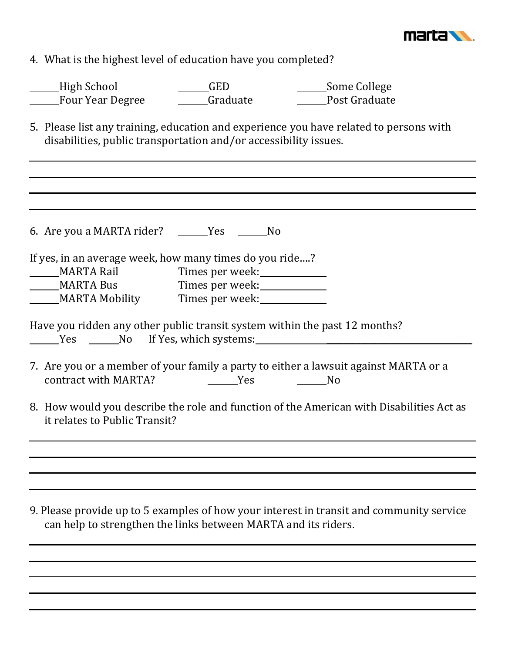

4. What is the highest level of education have you completed?

| High School      | GED      | Some College  |
|------------------|----------|---------------|
| Four Year Degree | Graduate | Post Graduate |

5. Please list any training, education and experience you have related to persons with disabilities, public transportation and/or accessibility issues.

| 6. Are you a MARTA rider? ______Yes ______No                                                                              |                                                                                                                         |  |
|---------------------------------------------------------------------------------------------------------------------------|-------------------------------------------------------------------------------------------------------------------------|--|
| If yes, in an average week, how many times do you ride?                                                                   |                                                                                                                         |  |
| ______MARTA Rail Times per week:_____________                                                                             |                                                                                                                         |  |
| MARTA Bus Times per week:                                                                                                 |                                                                                                                         |  |
| MARTA Mobility Times per week:                                                                                            |                                                                                                                         |  |
|                                                                                                                           | Have you ridden any other public transit system within the past 12 months?<br>Yes No If Yes, which systems:             |  |
| contract with MARTA?                                                                                                      | 7. Are you or a member of your family a party to either a lawsuit against MARTA or a<br>and the Second Yes<br><u>No</u> |  |
| 8. How would you describe the role and function of the American with Disabilities Act as<br>it relates to Public Transit? |                                                                                                                         |  |
|                                                                                                                           |                                                                                                                         |  |
|                                                                                                                           |                                                                                                                         |  |
|                                                                                                                           |                                                                                                                         |  |
|                                                                                                                           |                                                                                                                         |  |

9. Please provide up to 5 examples of how your interest in transit and community service can help to strengthen the links between MARTA and its riders.